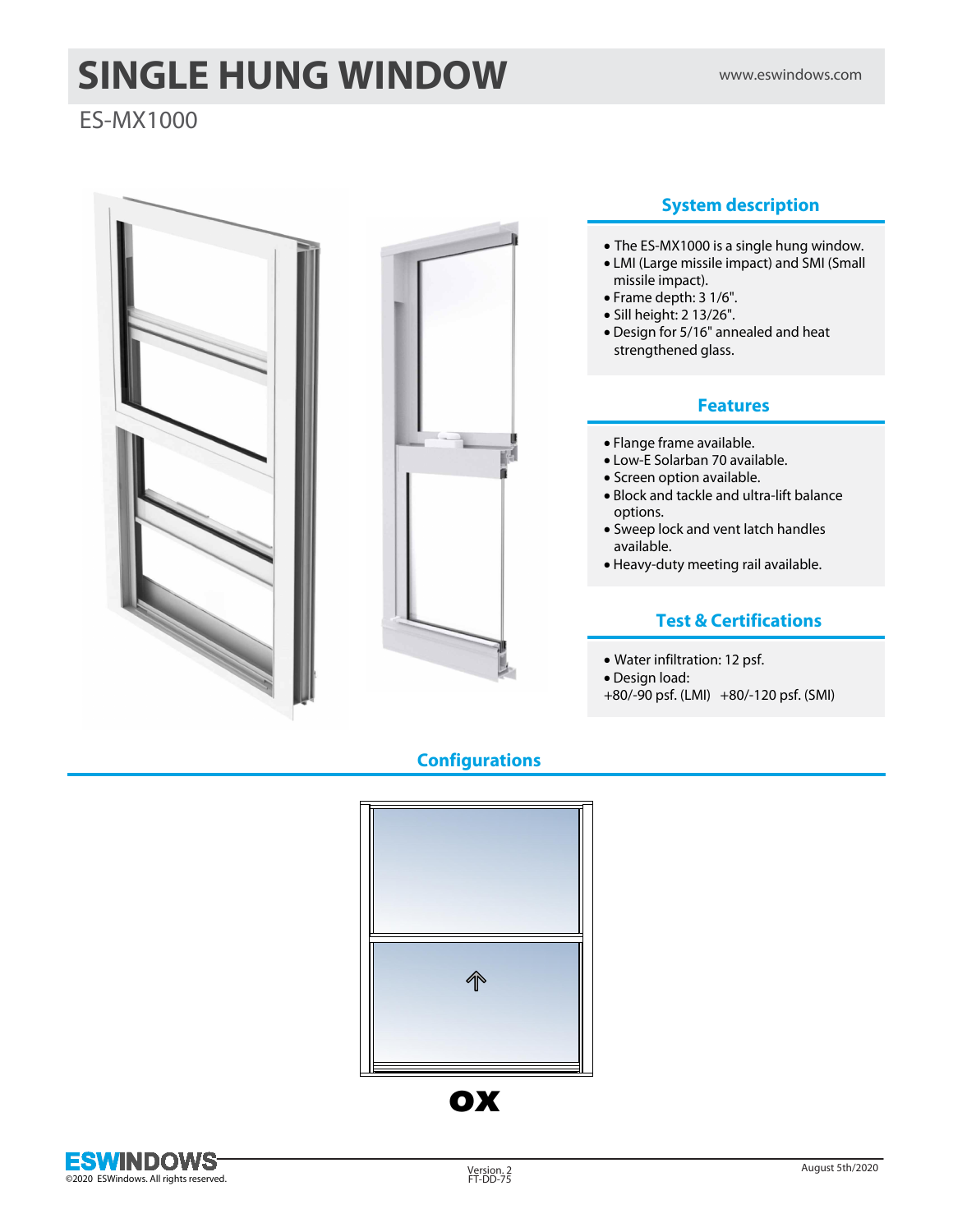# **SINGLE HUNG WINDOW** WWW.eswindows.com

## ES-MX1000





## **System description**

- · The ES-MX1000 is a single hung window.
- · LMI (Large missile impact) and SMI (Small missile impact).
- · Frame depth: 3 1/6".
- · Sill height: 2 13/26".
- · Design for 5/16" annealed and heat strengthened glass.

#### **Features**

- · Flange frame available.
- · Low-E Solarban 70 available.
- · Screen option available.
- · Block and tackle and ultra-lift balance options.
- · Sweep lock and vent latch handles available.
- · Heavy-duty meeting rail available.

### **Test & Certifications**

- · Water infiltration: 12 psf.
- · Design load:
- +80/-90 psf. (LMI) +80/-120 psf. (SMI)

## **Configurations**



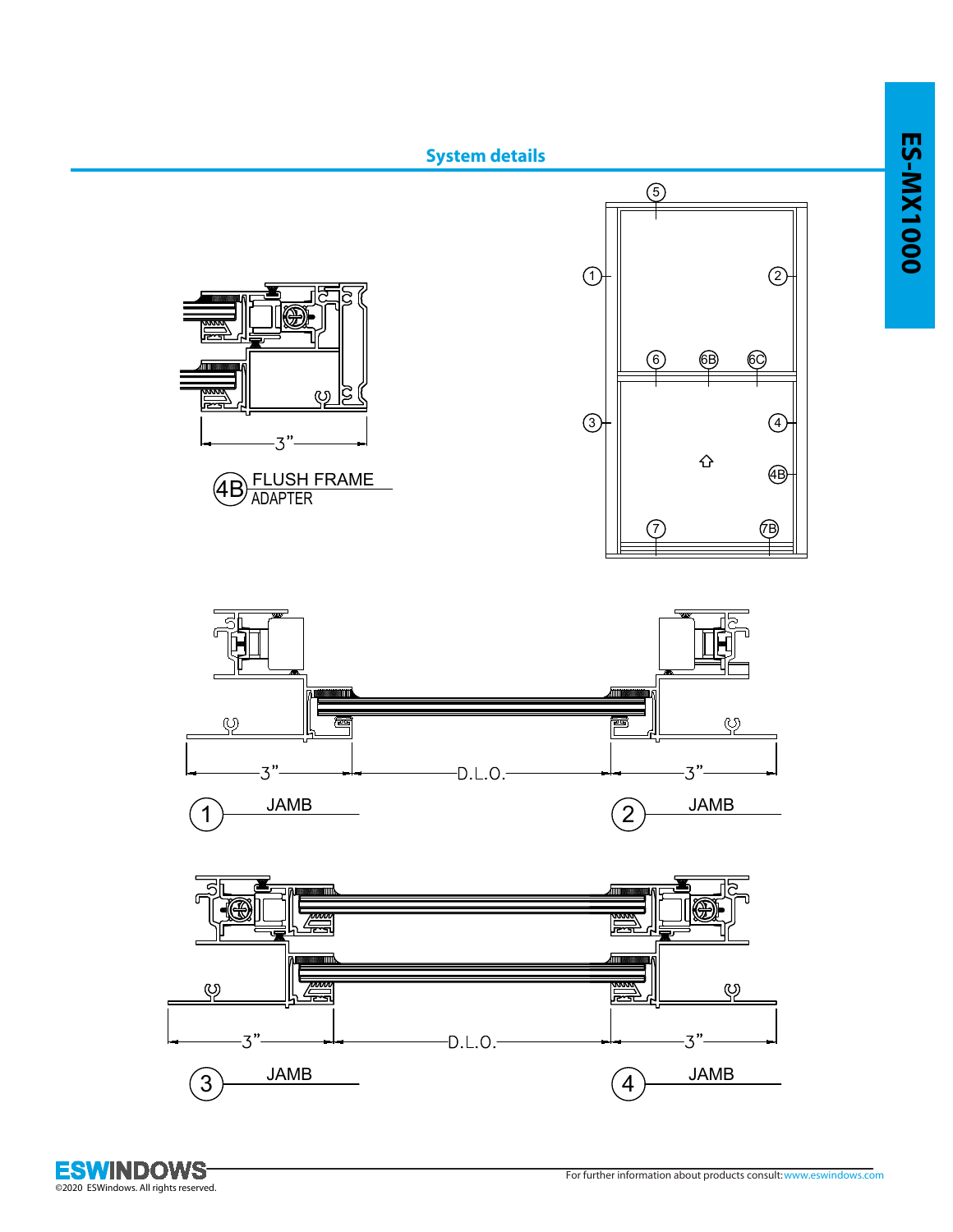

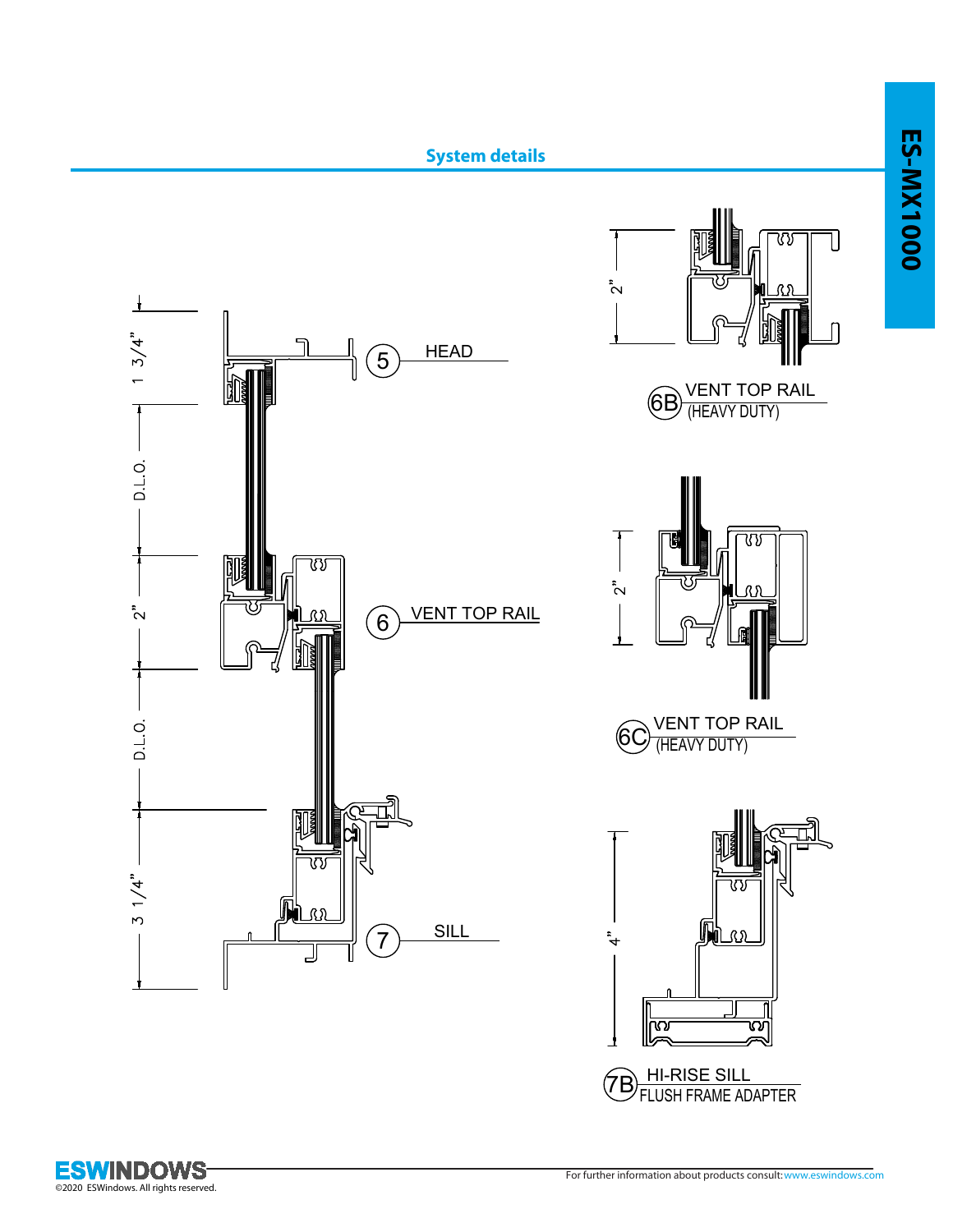

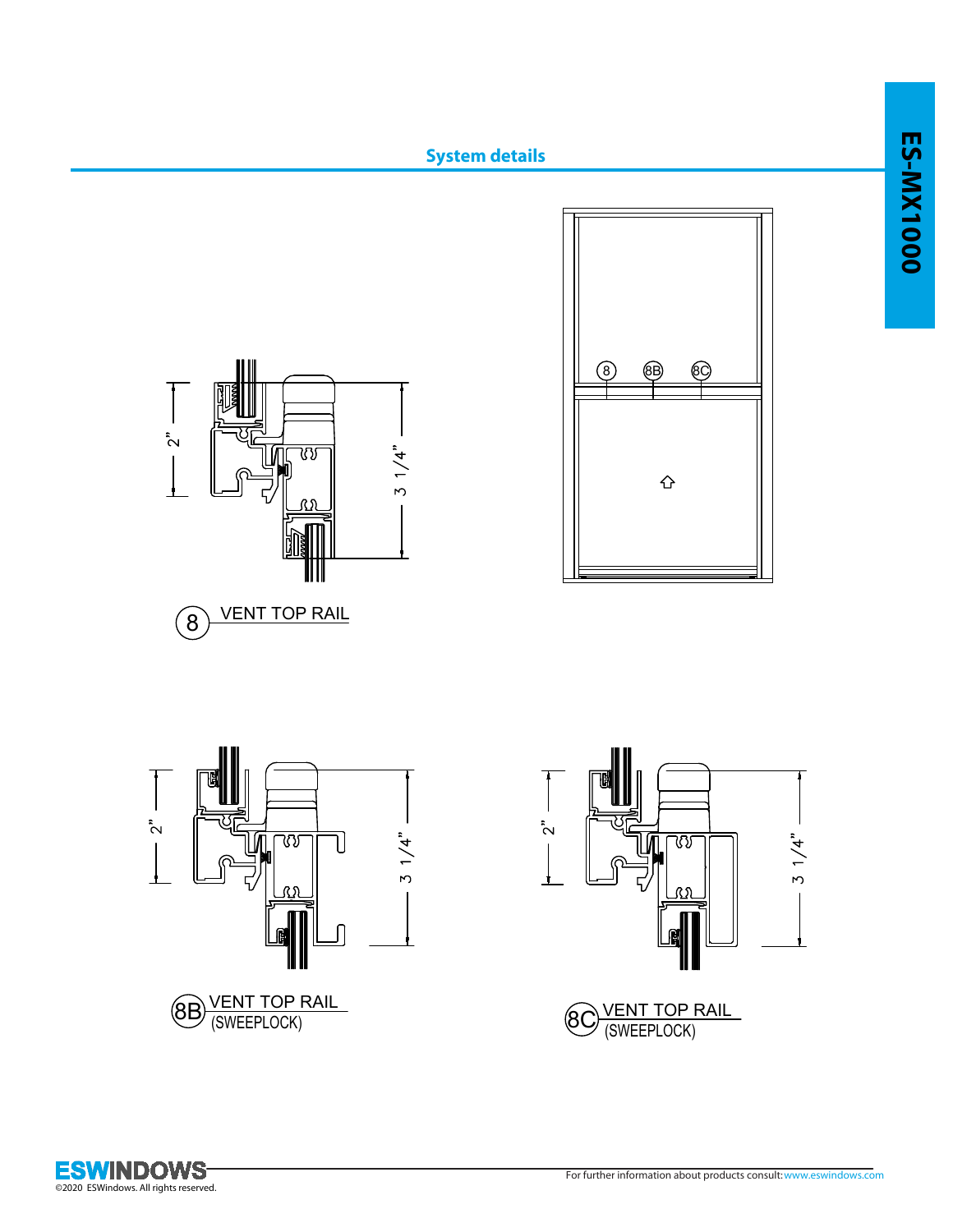